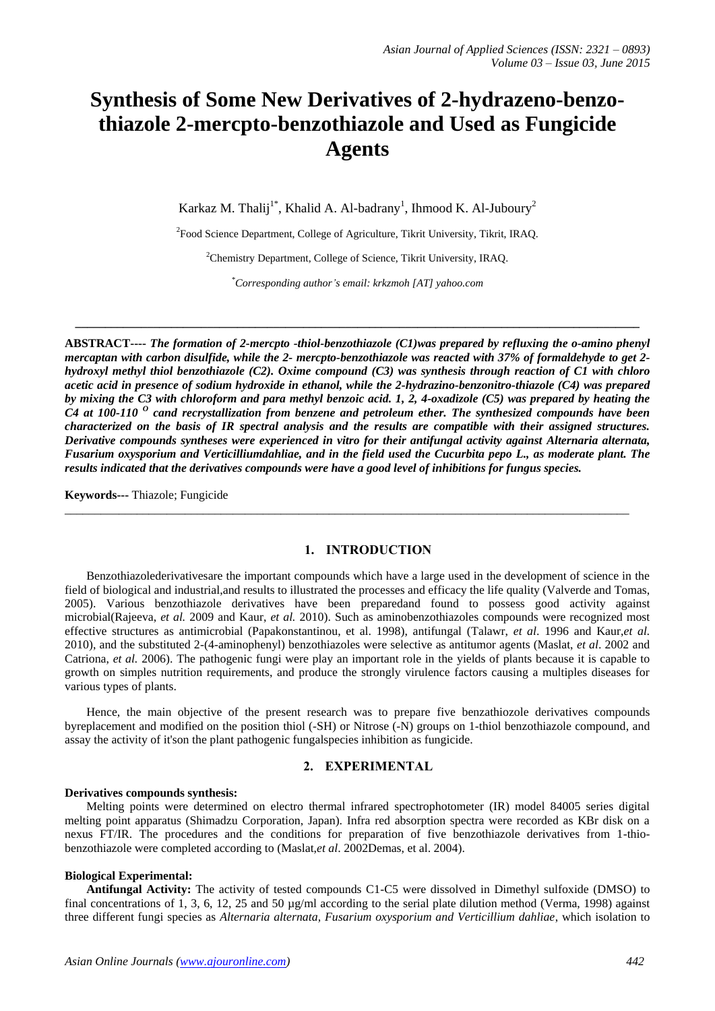# **Synthesis of Some New Derivatives of 2-hydrazeno-benzothiazole 2-mercpto-benzothiazole and Used as Fungicide Agents**

Karkaz M. Thalij<sup>1\*</sup>, Khalid A. Al-badrany<sup>1</sup>, Ihmood K. Al-Juboury<sup>2</sup>

<sup>2</sup> Food Science Department, College of Agriculture, Tikrit University, Tikrit, IRAQ.

<sup>2</sup>Chemistry Department, College of Science, Tikrit University, IRAQ.

*\*Corresponding author's email: krkzmoh [AT] yahoo.com*

**\_\_\_\_\_\_\_\_\_\_\_\_\_\_\_\_\_\_\_\_\_\_\_\_\_\_\_\_\_\_\_\_\_\_\_\_\_\_\_\_\_\_\_\_\_\_\_\_\_\_\_\_\_\_\_\_\_\_\_\_\_\_\_\_\_\_\_\_\_\_\_\_\_\_\_\_\_\_\_\_\_\_\_\_\_\_\_\_\_\_\_\_\_\_**

**ABSTRACT----** *The formation of 2-mercpto -thiol-benzothiazole (C1)was prepared by refluxing the o-amino phenyl mercaptan with carbon disulfide, while the 2- mercpto-benzothiazole was reacted with 37% of formaldehyde to get 2 hydroxyl methyl thiol benzothiazole (C2). Oxime compound (C3) was synthesis through reaction of C1 with chloro acetic acid in presence of sodium hydroxide in ethanol, while the 2-hydrazino-benzonitro-thiazole (C4) was prepared by mixing the C3 with chloroform and para methyl benzoic acid. 1, 2, 4-oxadizole (C5) was prepared by heating the C4 at 100-110 <sup>O</sup> cand recrystallization from benzene and petroleum ether. The synthesized compounds have been characterized on the basis of IR spectral analysis and the results are compatible with their assigned structures. Derivative compounds syntheses were experienced in vitro for their antifungal activity against Alternaria alternata, Fusarium oxysporium and Verticilliumdahliae, and in the field used the Cucurbita pepo L., as moderate plant. The results indicated that the derivatives compounds were have a good level of inhibitions for fungus species.*

**Keywords---** Thiazole; Fungicide

### **1. INTRODUCTION**

\_\_\_\_\_\_\_\_\_\_\_\_\_\_\_\_\_\_\_\_\_\_\_\_\_\_\_\_\_\_\_\_\_\_\_\_\_\_\_\_\_\_\_\_\_\_\_\_\_\_\_\_\_\_\_\_\_\_\_\_\_\_\_\_\_\_\_\_\_\_\_\_\_\_\_\_\_\_\_\_\_\_\_\_\_\_\_\_\_\_\_\_\_\_

Benzothiazolederivativesare the important compounds which have a large used in the development of science in the field of biological and industrial,and results to illustrated the processes and efficacy the life quality (Valverde and Tomas, 2005). Various benzothiazole derivatives have been preparedand found to possess good activity against microbial(Rajeeva, *et al.* 2009 and Kaur, *et al.* 2010). Such as aminobenzothiazoles compounds were recognized most effective structures as antimicrobial (Papakonstantinou, et al. 1998), antifungal (Talawr, *et al*. 1996 and Kaur,*et al.* 2010), and the substituted 2-(4-aminophenyl) benzothiazoles were selective as antitumor agents (Maslat, *et al*. 2002 and Catriona, *et al.* 2006). The pathogenic fungi were play an important role in the yields of plants because it is capable to growth on simples nutrition requirements, and produce the strongly virulence factors causing a multiples diseases for various types of plants.

Hence, the main objective of the present research was to prepare five benzathiozole derivatives compounds byreplacement and modified on the position thiol (-SH) or Nitrose (-N) groups on 1-thiol benzothiazole compound, and assay the activity of it'son the plant pathogenic fungalspecies inhibition as fungicide.

## **2. EXPERIMENTAL**

#### **Derivatives compounds synthesis:**

Melting points were determined on electro thermal infrared spectrophotometer (IR) model 84005 series digital melting point apparatus (Shimadzu Corporation, Japan). Infra red absorption spectra were recorded as KBr disk on a nexus FT/IR. The procedures and the conditions for preparation of five benzothiazole derivatives from 1-thiobenzothiazole were completed according to (Maslat,*et al*. 2002Demas, et al. 2004).

#### **Biological Experimental:**

**Antifungal Activity:** The activity of tested compounds C1-C5 were dissolved in Dimethyl sulfoxide (DMSO) to final concentrations of 1, 3, 6, 12, 25 and 50  $\mu$ g/ml according to the serial plate dilution method (Verma, 1998) against three different fungi species as *Alternaria alternata, Fusarium oxysporium and Verticillium dahliae*, which isolation to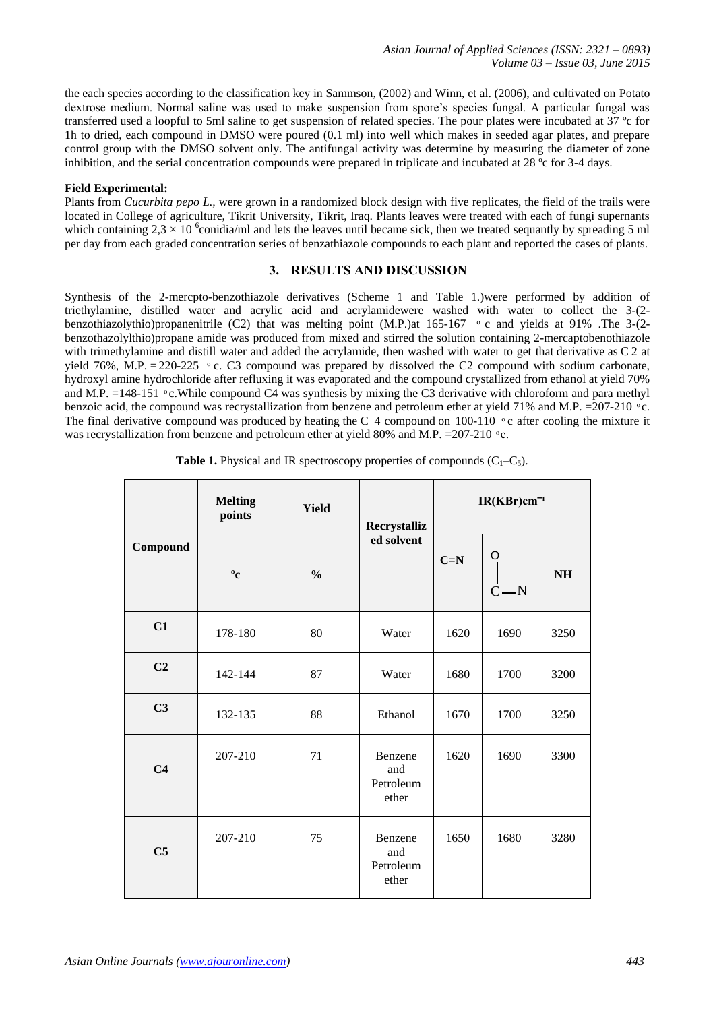the each species according to the classification key in Sammson, (2002) and Winn, et al. (2006), and cultivated on Potato dextrose medium. Normal saline was used to make suspension from spore's species fungal. A particular fungal was transferred used a loopful to 5ml saline to get suspension of related species. The pour plates were incubated at 37 ºc for 1h to dried, each compound in DMSO were poured (0.1 ml) into well which makes in seeded agar plates, and prepare control group with the DMSO solvent only. The antifungal activity was determine by measuring the diameter of zone inhibition, and the serial concentration compounds were prepared in triplicate and incubated at 28 ºc for 3-4 days.

## **Field Experimental:**

Plants from *Cucurbita pepo L.,* were grown in a randomized block design with five replicates, the field of the trails were located in College of agriculture, Tikrit University, Tikrit, Iraq. Plants leaves were treated with each of fungi supernants which containing  $2.3 \times 10^{-6}$  conidia/ml and lets the leaves until became sick, then we treated sequantly by spreading 5 ml per day from each graded concentration series of benzathiazole compounds to each plant and reported the cases of plants.

# **3. RESULTS AND DISCUSSION**

Synthesis of the 2-mercpto-benzothiazole derivatives (Scheme 1 and Table 1.)were performed by addition of triethylamine, distilled water and acrylic acid and acrylamidewere washed with water to collect the 3-(2 benzothiazolythio)propanenitrile (C2) that was melting point (M.P.)at 165-167 ° c and yields at 91% .The 3-(2benzothazolylthio)propane amide was produced from mixed and stirred the solution containing 2-mercaptobenothiazole with trimethylamine and distill water and added the acrylamide, then washed with water to get that derivative as C 2 at yield 76%, M.P. = 220-225  $\degree$  c. C3 compound was prepared by dissolved the C2 compound with sodium carbonate, hydroxyl amine hydrochloride after refluxing it was evaporated and the compound crystallized from ethanol at yield 70% and M.P.  $=148-151$  °c. While compound C4 was synthesis by mixing the C3 derivative with chloroform and para methyl benzoic acid, the compound was recrystallization from benzene and petroleum ether at yield 71% and M.P.  $=$ 207-210  $\degree$ c. The final derivative compound was produced by heating the C 4 compound on 100-110  $\degree$ c after cooling the mixture it was recrystallization from benzene and petroleum ether at yield 80% and M.P.  $=207-210$  °c.

| Compound       | <b>Melting</b><br>points | <b>Yield</b>  | Recrystalliz                         | $IR(KBr)cm^{-1}$ |                             |           |
|----------------|--------------------------|---------------|--------------------------------------|------------------|-----------------------------|-----------|
|                | $\mathbf{^0c}$           | $\frac{0}{0}$ | ed solvent                           | $C=N$            | O<br>$\parallel$<br>$C - N$ | <b>NH</b> |
| C1             | 178-180                  | 80            | Water                                | 1620             | 1690                        | 3250      |
| C <sub>2</sub> | 142-144                  | 87            | Water                                | 1680             | 1700                        | 3200      |
| C <sub>3</sub> | 132-135                  | 88            | Ethanol                              | 1670             | 1700                        | 3250      |
| C <sub>4</sub> | 207-210                  | 71            | Benzene<br>and<br>Petroleum<br>ether | 1620             | 1690                        | 3300      |
| C <sub>5</sub> | 207-210                  | 75            | Benzene<br>and<br>Petroleum<br>ether | 1650             | 1680                        | 3280      |

**Table 1.** Physical and IR spectroscopy properties of compounds  $(C_1-C_5)$ .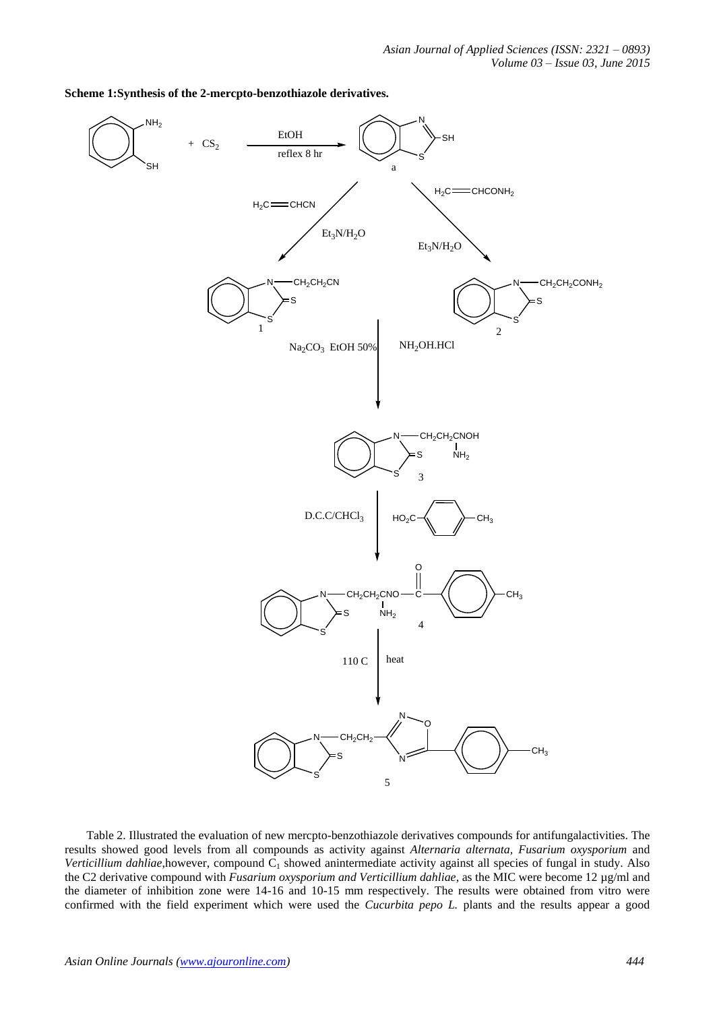

**Scheme 1:Synthesis of the 2-mercpto-benzothiazole derivatives.**

Table 2. Illustrated the evaluation of new mercpto-benzothiazole derivatives compounds for antifungalactivities. The results showed good levels from all compounds as activity against *Alternaria alternata, Fusarium oxysporium* and *Verticillium dahliae*,however, compound C<sub>1</sub> showed anintermediate activity against all species of fungal in study. Also the C2 derivative compound with *Fusarium oxysporium and Verticillium dahliae*, as the MIC were become 12 µg/ml and the diameter of inhibition zone were 14-16 and 10-15 mm respectively. The results were obtained from vitro were confirmed with the field experiment which were used the *Cucurbita pepo L.* plants and the results appear a good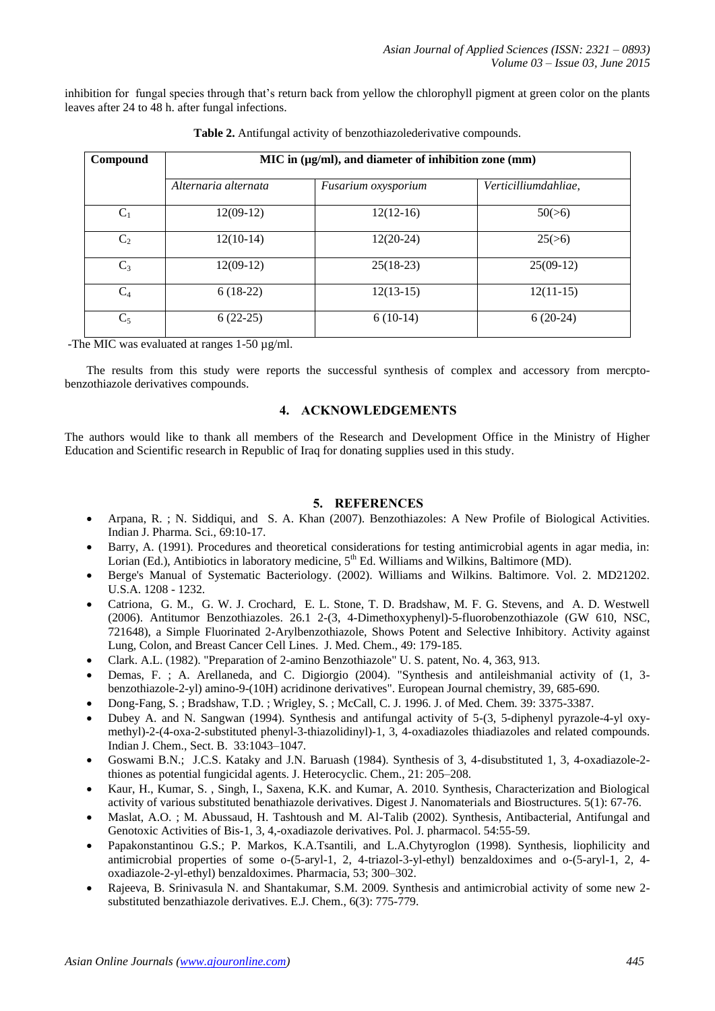inhibition for fungal species through that's return back from yellow the chlorophyll pigment at green color on the plants leaves after 24 to 48 h. after fungal infections.

| Compound       | MIC in (µg/ml), and diameter of inhibition zone (mm) |                     |                      |  |  |  |  |  |  |  |
|----------------|------------------------------------------------------|---------------------|----------------------|--|--|--|--|--|--|--|
|                | Alternaria alternata                                 | Fusarium oxysporium | Verticilliumdahliae, |  |  |  |  |  |  |  |
| $C_1$          | $12(09-12)$                                          | $12(12-16)$         | 50(>6)               |  |  |  |  |  |  |  |
| C <sub>2</sub> | $12(10-14)$                                          | $12(20-24)$         | 25(>6)               |  |  |  |  |  |  |  |
| $C_3$          | $12(09-12)$                                          | $25(18-23)$         | $25(09-12)$          |  |  |  |  |  |  |  |
| $C_4$          | $6(18-22)$                                           | $12(13-15)$         | $12(11-15)$          |  |  |  |  |  |  |  |
| $C_5$          | $6(22-25)$                                           | $6(10-14)$          | $6(20-24)$           |  |  |  |  |  |  |  |

|  |  | Table 2. Antifungal activity of benzothiazolederivative compounds. |  |
|--|--|--------------------------------------------------------------------|--|
|  |  |                                                                    |  |
|  |  |                                                                    |  |

-The MIC was evaluated at ranges 1-50 µg/ml.

The results from this study were reports the successful synthesis of complex and accessory from mercptobenzothiazole derivatives compounds.

# **4. ACKNOWLEDGEMENTS**

The authors would like to thank all members of the Research and Development Office in the Ministry of Higher Education and Scientific research in Republic of Iraq for donating supplies used in this study.

## **5. REFERENCES**

- Arpana, R. ; N. Siddiqui, and S. A. Khan (2007). Benzothiazoles: A New Profile of Biological Activities. Indian J. Pharma. Sci., 69:10-17.
- Barry, A. (1991). Procedures and theoretical considerations for testing antimicrobial agents in agar media, in: Lorian (Ed.), Antibiotics in laboratory medicine,  $5<sup>th</sup>$  Ed. Williams and Wilkins, Baltimore (MD).
- Berge's Manual of Systematic Bacteriology. (2002). Williams and Wilkins. Baltimore. Vol. 2. MD21202. U.S.A. 1208 - 1232.
- Catriona, G. M., G. W. J. Crochard, E. L. Stone, T. D. Bradshaw, M. F. G. Stevens, and A. D. Westwell (2006). Antitumor Benzothiazoles. 26.1 2-(3, 4-Dimethoxyphenyl)-5-fluorobenzothiazole (GW 610, NSC, 721648), a Simple Fluorinated 2-Arylbenzothiazole, Shows Potent and Selective Inhibitory. Activity against Lung, Colon, and Breast Cancer Cell Lines. J. Med. Chem., 49: 179-185.
- Clark. A.L. (1982). "Preparation of 2-amino Benzothiazole" U. S. patent, No. 4, 363, 913.
- Demas, F. ; A. Arellaneda, and C. Digiorgio (2004). "Synthesis and antileishmanial activity of (1, 3 benzothiazole-2-yl) amino-9-(10H) acridinone derivatives". European Journal chemistry, 39, 685-690.
- Dong-Fang, S. ; Bradshaw, T.D. ; Wrigley, S. ; McCall, C. J. 1996. J. of Med. Chem. 39: 3375-3387.
- Dubey A. and N. Sangwan (1994). Synthesis and antifungal activity of 5-(3, 5-diphenyl pyrazole-4-yl oxymethyl)-2-(4-oxa-2-substituted phenyl-3-thiazolidinyl)-1, 3, 4-oxadiazoles thiadiazoles and related compounds. Indian J. Chem., Sect. B. 33:1043–1047.
- Goswami B.N.; J.C.S. Kataky and J.N. Baruash (1984). Synthesis of 3, 4-disubstituted 1, 3, 4-oxadiazole-2 thiones as potential fungicidal agents. J. Heterocyclic. Chem., 21: 205–208.
- Kaur, H., Kumar, S. , Singh, I., Saxena, K.K. and Kumar, A. 2010. Synthesis, Characterization and Biological activity of various substituted benathiazole derivatives. Digest J. Nanomaterials and Biostructures. 5(1): 67-76.
- Maslat, A.O. ; M. Abussaud, H. Tashtoush and M. Al-Talib (2002). Synthesis, Antibacterial, Antifungal and Genotoxic Activities of Bis-1, 3, 4,-oxadiazole derivatives. Pol. J. pharmacol. 54:55-59.
- Papakonstantinou G.S.; P. Markos, K.A.Tsantili, and L.A.Chytyroglon (1998). Synthesis, liophilicity and antimicrobial properties of some o-(5-aryl-1, 2, 4-triazol-3-yl-ethyl) benzaldoximes and o-(5-aryl-1, 2, 4 oxadiazole-2-yl-ethyl) benzaldoximes. Pharmacia, 53; 300–302.
- Rajeeva, B. Srinivasula N. and Shantakumar, S.M. 2009. Synthesis and antimicrobial activity of some new 2 substituted benzathiazole derivatives. E.J. Chem., 6(3): 775-779.